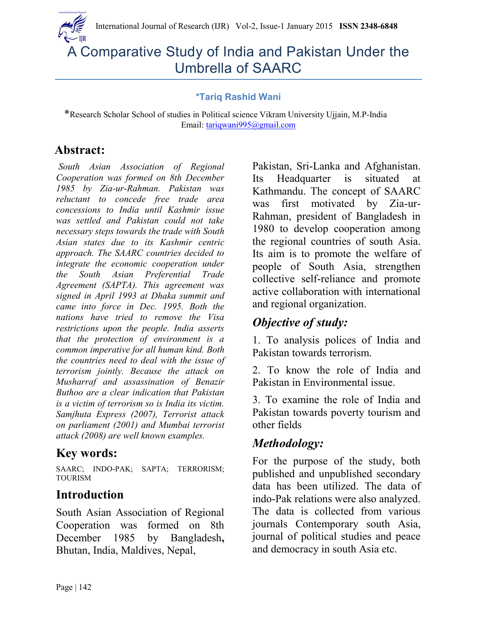

# A Comparative Study of India and Pakistan Under the Umbrella of SAARC

#### **\*Tariq Rashid Wani**

 \*Research Scholar School of studies in Political science Vikram University Ujjain, M.P-India Email: [tariqwani995@gmail.com](mailto:tariqwani995@gmail.com)

# **Abstract:**

*South Asian Association of Regional Cooperation was formed on 8th December 1985 by Zia-ur-Rahman. Pakistan was reluctant to concede free trade area concessions to India until Kashmir issue was settled and Pakistan could not take necessary steps towards the trade with South Asian states due to its Kashmir centric approach. The SAARC countries decided to integrate the economic cooperation under the South Asian Preferential Trade Agreement (SAPTA). This agreement was signed in April 1993 at Dhaka summit and came into force in Dec. 1995. Both the nations have tried to remove the Visa restrictions upon the people. India asserts that the protection of environment is a common imperative for all human kind. Both the countries need to deal with the issue of terrorism jointly. Because the attack on Musharraf and assassination of Benazir Buthoo are a clear indication that Pakistan is a victim of terrorism so is India its victim. Samjhuta Express (2007), Terrorist attack on parliament (2001) and Mumbai terrorist attack (2008) are well known examples.*

# **Key words:**

SAARC; INDO-PAK; SAPTA; TERRORISM; **TOURISM** 

# **Introduction**

South Asian Association of Regional Cooperation was formed on 8th December 1985 by Bangladesh**,** Bhutan, India, Maldives, Nepal,

Pakistan, Sri-Lanka and Afghanistan. Its Headquarter is situated at Kathmandu. The concept of SAARC was first motivated by Zia-ur-Rahman, president of Bangladesh in 1980 to develop cooperation among the regional countries of south Asia. Its aim is to promote the welfare of people of South Asia, strengthen collective self-reliance and promote active collaboration with international and regional organization.

# *Objective of study:*

1. To analysis polices of India and Pakistan towards terrorism.

2. To know the role of India and Pakistan in Environmental issue.

3. To examine the role of India and Pakistan towards poverty tourism and other fields

# *Methodology:*

For the purpose of the study, both published and unpublished secondary data has been utilized. The data of indo-Pak relations were also analyzed. The data is collected from various journals Contemporary south Asia, journal of political studies and peace and democracy in south Asia etc.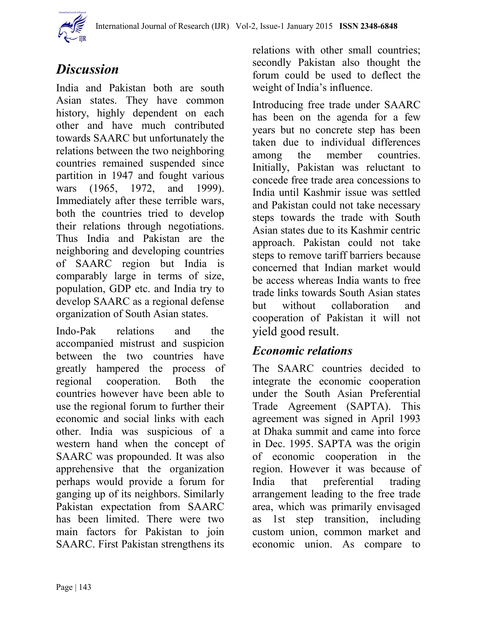

# *Discussion*

India and Pakistan both are south Asian states. They have common history, highly dependent on each other and have much contributed towards SAARC but unfortunately the relations between the two neighboring countries remained suspended since partition in 1947 and fought various wars (1965, 1972, and 1999). Immediately after these terrible wars, both the countries tried to develop their relations through negotiations. Thus India and Pakistan are the neighboring and developing countries of SAARC region but India is comparably large in terms of size, population, GDP etc. and India try to develop SAARC as a regional defense organization of South Asian states.

Indo-Pak relations and the accompanied mistrust and suspicion between the two countries have greatly hampered the process of regional cooperation. Both the countries however have been able to use the regional forum to further their economic and social links with each other. India was suspicious of a western hand when the concept of SAARC was propounded. It was also apprehensive that the organization perhaps would provide a forum for ganging up of its neighbors. Similarly Pakistan expectation from SAARC has been limited. There were two main factors for Pakistan to join SAARC. First Pakistan strengthens its

relations with other small countries; secondly Pakistan also thought the forum could be used to deflect the weight of India's influence.

Introducing free trade under SAARC has been on the agenda for a few years but no concrete step has been taken due to individual differences among the member countries. Initially, Pakistan was reluctant to concede free trade area concessions to India until Kashmir issue was settled and Pakistan could not take necessary steps towards the trade with South Asian states due to its Kashmir centric approach. Pakistan could not take steps to remove tariff barriers because concerned that Indian market would be access whereas India wants to free trade links towards South Asian states but without collaboration and cooperation of Pakistan it will not yield good result.

## *Economic relations*

The SAARC countries decided to integrate the economic cooperation under the South Asian Preferential Trade Agreement (SAPTA). This agreement was signed in April 1993 at Dhaka summit and came into force in Dec. 1995. SAPTA was the origin of economic cooperation in the region. However it was because of India that preferential trading arrangement leading to the free trade area, which was primarily envisaged as 1st step transition, including custom union, common market and economic union. As compare to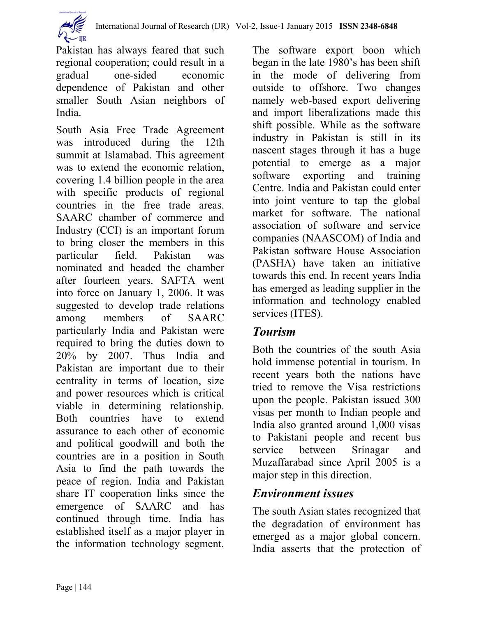

South Asia Free Trade Agreement was introduced during the 12th summit at Islamabad. This agreement was to extend the economic relation, covering 1.4 billion people in the area with specific products of regional countries in the free trade areas. SAARC chamber of commerce and Industry (CCI) is an important forum to bring closer the members in this particular field. Pakistan was nominated and headed the chamber after fourteen years. SAFTA went into force on January 1, 2006. It was suggested to develop trade relations among members of SAARC particularly India and Pakistan were required to bring the duties down to 20% by 2007. Thus India and Pakistan are important due to their centrality in terms of location, size and power resources which is critical viable in determining relationship. Both countries have to extend assurance to each other of economic and political goodwill and both the countries are in a position in South Asia to find the path towards the peace of region. India and Pakistan share IT cooperation links since the emergence of SAARC and has continued through time. India has established itself as a major player in the information technology segment.

The software export boon which began in the late 1980's has been shift in the mode of delivering from outside to offshore. Two changes namely web-based export delivering and import liberalizations made this shift possible. While as the software industry in Pakistan is still in its nascent stages through it has a huge potential to emerge as a major software exporting and training Centre. India and Pakistan could enter into joint venture to tap the global market for software. The national association of software and service companies (NAASCOM) of India and Pakistan software House Association (PASHA) have taken an initiative towards this end. In recent years India has emerged as leading supplier in the information and technology enabled services (ITES).

## *Tourism*

Both the countries of the south Asia hold immense potential in tourism. In recent years both the nations have tried to remove the Visa restrictions upon the people. Pakistan issued 300 visas per month to Indian people and India also granted around 1,000 visas to Pakistani people and recent bus service between Srinagar and Muzaffarabad since April 2005 is a major step in this direction.

## *Environment issues*

The south Asian states recognized that the degradation of environment has emerged as a major global concern. India asserts that the protection of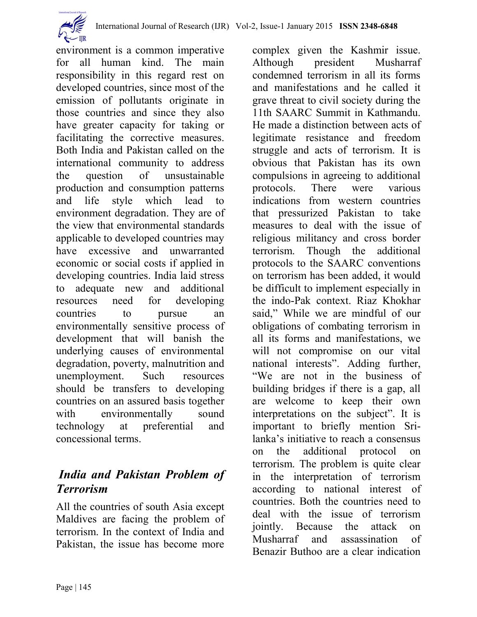

environment is a common imperative for all human kind. The main responsibility in this regard rest on developed countries, since most of the emission of pollutants originate in those countries and since they also have greater capacity for taking or facilitating the corrective measures. Both India and Pakistan called on the international community to address the question of unsustainable production and consumption patterns and life style which lead to environment degradation. They are of the view that environmental standards applicable to developed countries may have excessive and unwarranted economic or social costs if applied in developing countries. India laid stress to adequate new and additional resources need for developing countries to pursue an environmentally sensitive process of development that will banish the underlying causes of environmental degradation, poverty, malnutrition and unemployment. Such resources should be transfers to developing countries on an assured basis together with environmentally sound technology at preferential and concessional terms.

## *India and Pakistan Problem of Terrorism*

All the countries of south Asia except Maldives are facing the problem of terrorism. In the context of India and Pakistan, the issue has become more

complex given the Kashmir issue. Although president Musharraf condemned terrorism in all its forms and manifestations and he called it grave threat to civil society during the 11th SAARC Summit in Kathmandu. He made a distinction between acts of legitimate resistance and freedom struggle and acts of terrorism. It is obvious that Pakistan has its own compulsions in agreeing to additional protocols. There were various indications from western countries that pressurized Pakistan to take measures to deal with the issue of religious militancy and cross border terrorism. Though the additional protocols to the SAARC conventions on terrorism has been added, it would be difficult to implement especially in the indo-Pak context. Riaz Khokhar said," While we are mindful of our obligations of combating terrorism in all its forms and manifestations, we will not compromise on our vital national interests". Adding further, "We are not in the business of building bridges if there is a gap, all are welcome to keep their own interpretations on the subject". It is important to briefly mention Srilanka's initiative to reach a consensus on the additional protocol on terrorism. The problem is quite clear in the interpretation of terrorism according to national interest of countries. Both the countries need to deal with the issue of terrorism jointly. Because the attack on Musharraf and assassination of Benazir Buthoo are a clear indication